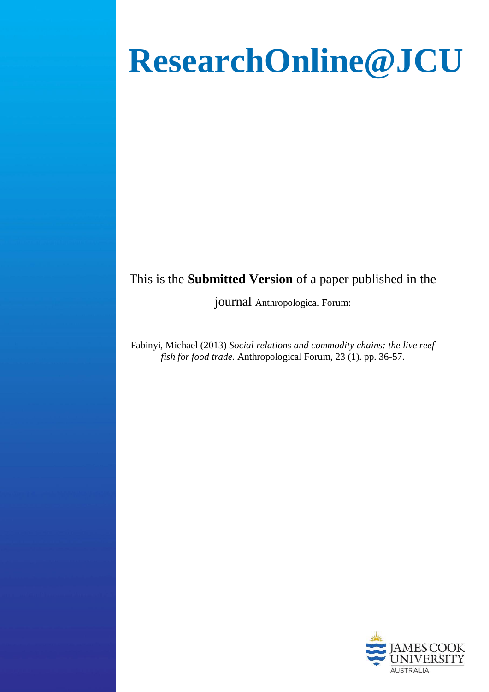# **ResearchOnline@JCU**

## This is the **Submitted Version** of a paper published in the

journal Anthropological Forum:

Fabinyi, Michael (2013) *Social relations and commodity chains: the live reef fish for food trade.* Anthropological Forum, 23 (1). pp. 36-57.

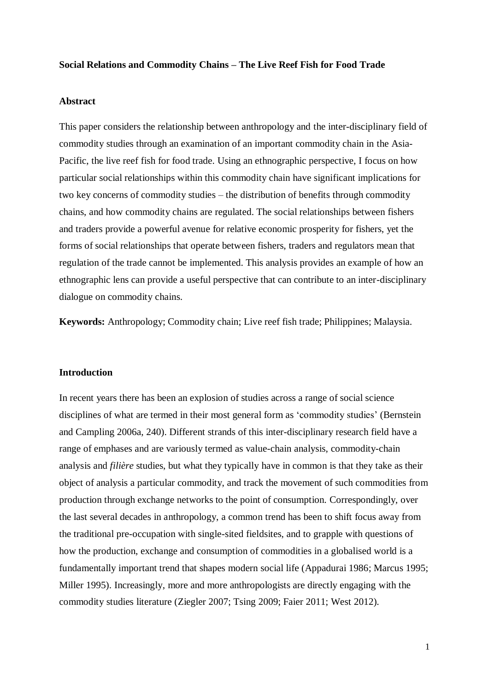#### **Social Relations and Commodity Chains – The Live Reef Fish for Food Trade**

#### **Abstract**

This paper considers the relationship between anthropology and the inter-disciplinary field of commodity studies through an examination of an important commodity chain in the Asia-Pacific, the live reef fish for food trade. Using an ethnographic perspective, I focus on how particular social relationships within this commodity chain have significant implications for two key concerns of commodity studies – the distribution of benefits through commodity chains, and how commodity chains are regulated. The social relationships between fishers and traders provide a powerful avenue for relative economic prosperity for fishers, yet the forms of social relationships that operate between fishers, traders and regulators mean that regulation of the trade cannot be implemented. This analysis provides an example of how an ethnographic lens can provide a useful perspective that can contribute to an inter-disciplinary dialogue on commodity chains.

**Keywords:** Anthropology; Commodity chain; Live reef fish trade; Philippines; Malaysia.

#### **Introduction**

In recent years there has been an explosion of studies across a range of social science disciplines of what are termed in their most general form as 'commodity studies' (Bernstein and Campling 2006a, 240). Different strands of this inter-disciplinary research field have a range of emphases and are variously termed as value-chain analysis, commodity-chain analysis and *filière* studies, but what they typically have in common is that they take as their object of analysis a particular commodity, and track the movement of such commodities from production through exchange networks to the point of consumption. Correspondingly, over the last several decades in anthropology, a common trend has been to shift focus away from the traditional pre-occupation with single-sited fieldsites, and to grapple with questions of how the production, exchange and consumption of commodities in a globalised world is a fundamentally important trend that shapes modern social life (Appadurai 1986; Marcus 1995; Miller 1995). Increasingly, more and more anthropologists are directly engaging with the commodity studies literature (Ziegler 2007; Tsing 2009; Faier 2011; West 2012).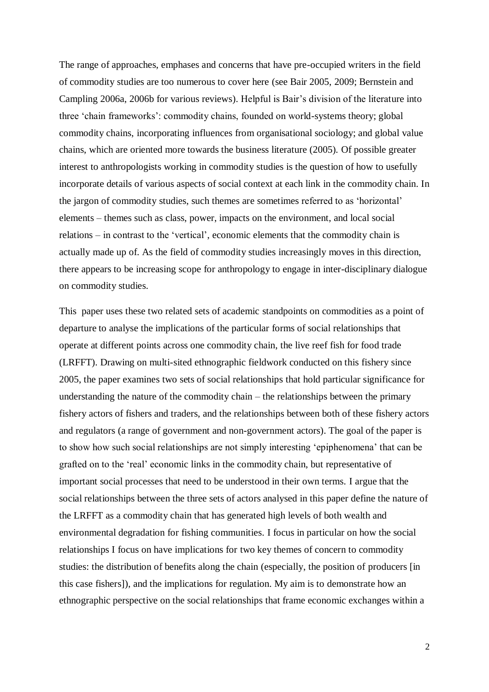The range of approaches, emphases and concerns that have pre-occupied writers in the field of commodity studies are too numerous to cover here (see Bair 2005, 2009; Bernstein and Campling 2006a, 2006b for various reviews). Helpful is Bair's division of the literature into three 'chain frameworks': commodity chains, founded on world-systems theory; global commodity chains, incorporating influences from organisational sociology; and global value chains, which are oriented more towards the business literature (2005). Of possible greater interest to anthropologists working in commodity studies is the question of how to usefully incorporate details of various aspects of social context at each link in the commodity chain. In the jargon of commodity studies, such themes are sometimes referred to as 'horizontal' elements – themes such as class, power, impacts on the environment, and local social relations – in contrast to the 'vertical', economic elements that the commodity chain is actually made up of. As the field of commodity studies increasingly moves in this direction, there appears to be increasing scope for anthropology to engage in inter-disciplinary dialogue on commodity studies.

This paper uses these two related sets of academic standpoints on commodities as a point of departure to analyse the implications of the particular forms of social relationships that operate at different points across one commodity chain, the live reef fish for food trade (LRFFT). Drawing on multi-sited ethnographic fieldwork conducted on this fishery since 2005, the paper examines two sets of social relationships that hold particular significance for understanding the nature of the commodity chain – the relationships between the primary fishery actors of fishers and traders, and the relationships between both of these fishery actors and regulators (a range of government and non-government actors). The goal of the paper is to show how such social relationships are not simply interesting 'epiphenomena' that can be grafted on to the 'real' economic links in the commodity chain, but representative of important social processes that need to be understood in their own terms. I argue that the social relationships between the three sets of actors analysed in this paper define the nature of the LRFFT as a commodity chain that has generated high levels of both wealth and environmental degradation for fishing communities. I focus in particular on how the social relationships I focus on have implications for two key themes of concern to commodity studies: the distribution of benefits along the chain (especially, the position of producers [in this case fishers]), and the implications for regulation. My aim is to demonstrate how an ethnographic perspective on the social relationships that frame economic exchanges within a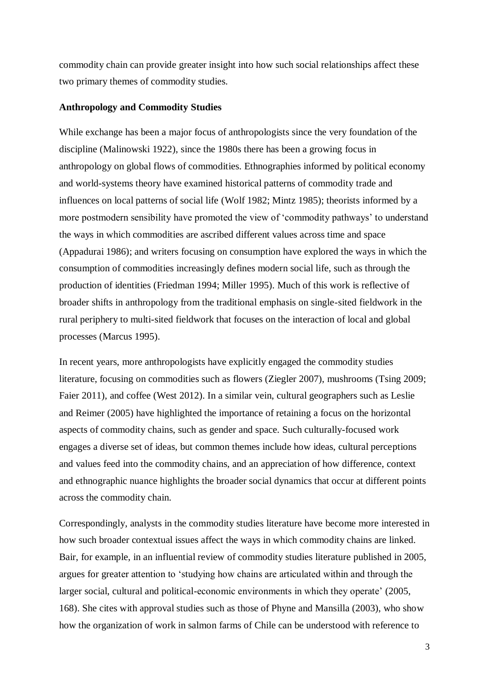commodity chain can provide greater insight into how such social relationships affect these two primary themes of commodity studies.

#### **Anthropology and Commodity Studies**

While exchange has been a major focus of anthropologists since the very foundation of the discipline (Malinowski 1922), since the 1980s there has been a growing focus in anthropology on global flows of commodities. Ethnographies informed by political economy and world-systems theory have examined historical patterns of commodity trade and influences on local patterns of social life (Wolf 1982; Mintz 1985); theorists informed by a more postmodern sensibility have promoted the view of 'commodity pathways' to understand the ways in which commodities are ascribed different values across time and space (Appadurai 1986); and writers focusing on consumption have explored the ways in which the consumption of commodities increasingly defines modern social life, such as through the production of identities (Friedman 1994; Miller 1995). Much of this work is reflective of broader shifts in anthropology from the traditional emphasis on single-sited fieldwork in the rural periphery to multi-sited fieldwork that focuses on the interaction of local and global processes (Marcus 1995).

In recent years, more anthropologists have explicitly engaged the commodity studies literature, focusing on commodities such as flowers (Ziegler 2007), mushrooms (Tsing 2009; Faier 2011), and coffee (West 2012). In a similar vein, cultural geographers such as Leslie and Reimer (2005) have highlighted the importance of retaining a focus on the horizontal aspects of commodity chains, such as gender and space. Such culturally-focused work engages a diverse set of ideas, but common themes include how ideas, cultural perceptions and values feed into the commodity chains, and an appreciation of how difference, context and ethnographic nuance highlights the broader social dynamics that occur at different points across the commodity chain.

Correspondingly, analysts in the commodity studies literature have become more interested in how such broader contextual issues affect the ways in which commodity chains are linked. Bair, for example, in an influential review of commodity studies literature published in 2005, argues for greater attention to 'studying how chains are articulated within and through the larger social, cultural and political-economic environments in which they operate' (2005, 168). She cites with approval studies such as those of Phyne and Mansilla (2003), who show how the organization of work in salmon farms of Chile can be understood with reference to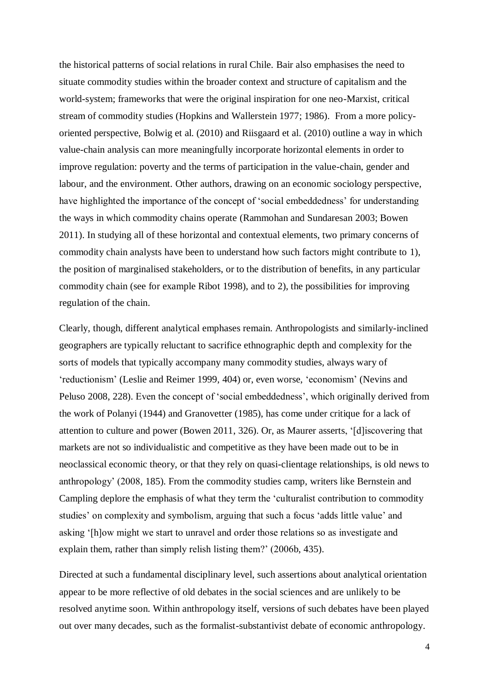the historical patterns of social relations in rural Chile. Bair also emphasises the need to situate commodity studies within the broader context and structure of capitalism and the world-system; frameworks that were the original inspiration for one neo-Marxist, critical stream of commodity studies (Hopkins and Wallerstein 1977; 1986). From a more policyoriented perspective, Bolwig et al. (2010) and Riisgaard et al. (2010) outline a way in which value-chain analysis can more meaningfully incorporate horizontal elements in order to improve regulation: poverty and the terms of participation in the value-chain, gender and labour, and the environment. Other authors, drawing on an economic sociology perspective, have highlighted the importance of the concept of 'social embeddedness' for understanding the ways in which commodity chains operate (Rammohan and Sundaresan 2003; Bowen 2011). In studying all of these horizontal and contextual elements, two primary concerns of commodity chain analysts have been to understand how such factors might contribute to 1), the position of marginalised stakeholders, or to the distribution of benefits, in any particular commodity chain (see for example Ribot 1998), and to 2), the possibilities for improving regulation of the chain.

Clearly, though, different analytical emphases remain. Anthropologists and similarly-inclined geographers are typically reluctant to sacrifice ethnographic depth and complexity for the sorts of models that typically accompany many commodity studies, always wary of 'reductionism' (Leslie and Reimer 1999, 404) or, even worse, 'economism' (Nevins and Peluso 2008, 228). Even the concept of 'social embeddedness', which originally derived from the work of Polanyi (1944) and Granovetter (1985), has come under critique for a lack of attention to culture and power (Bowen 2011, 326). Or, as Maurer asserts, '[d]iscovering that markets are not so individualistic and competitive as they have been made out to be in neoclassical economic theory, or that they rely on quasi-clientage relationships, is old news to anthropology' (2008, 185). From the commodity studies camp, writers like Bernstein and Campling deplore the emphasis of what they term the 'culturalist contribution to commodity studies' on complexity and symbolism, arguing that such a focus 'adds little value' and asking '[h]ow might we start to unravel and order those relations so as investigate and explain them, rather than simply relish listing them?' (2006b, 435).

Directed at such a fundamental disciplinary level, such assertions about analytical orientation appear to be more reflective of old debates in the social sciences and are unlikely to be resolved anytime soon. Within anthropology itself, versions of such debates have been played out over many decades, such as the formalist-substantivist debate of economic anthropology.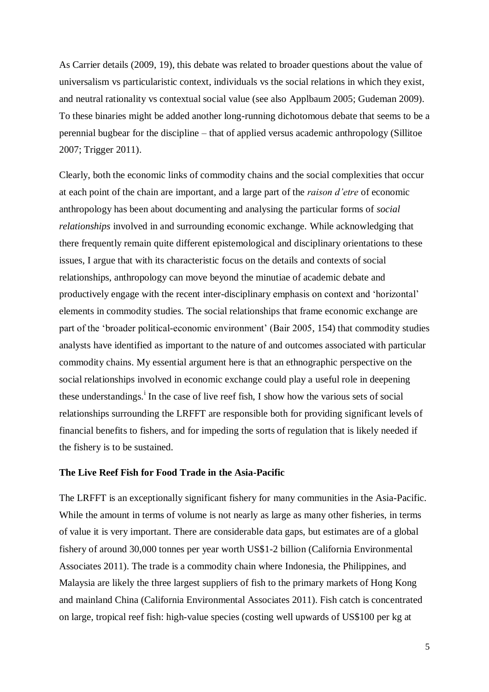As Carrier details (2009, 19), this debate was related to broader questions about the value of universalism vs particularistic context, individuals vs the social relations in which they exist, and neutral rationality vs contextual social value (see also Applbaum 2005; Gudeman 2009). To these binaries might be added another long-running dichotomous debate that seems to be a perennial bugbear for the discipline – that of applied versus academic anthropology (Sillitoe 2007; Trigger 2011).

Clearly, both the economic links of commodity chains and the social complexities that occur at each point of the chain are important, and a large part of the *raison d'etre* of economic anthropology has been about documenting and analysing the particular forms of *social relationships* involved in and surrounding economic exchange. While acknowledging that there frequently remain quite different epistemological and disciplinary orientations to these issues, I argue that with its characteristic focus on the details and contexts of social relationships, anthropology can move beyond the minutiae of academic debate and productively engage with the recent inter-disciplinary emphasis on context and 'horizontal' elements in commodity studies. The social relationships that frame economic exchange are part of the 'broader political-economic environment' (Bair 2005, 154) that commodity studies analysts have identified as important to the nature of and outcomes associated with particular commodity chains. My essential argument here is that an ethnographic perspective on the social relationships involved in economic exchange could play a useful role in deepening these understandings.<sup>i</sup> In the case of live reef fish, I show how the various sets of social relationships surrounding the LRFFT are responsible both for providing significant levels of financial benefits to fishers, and for impeding the sorts of regulation that is likely needed if the fishery is to be sustained.

#### **The Live Reef Fish for Food Trade in the Asia-Pacific**

The LRFFT is an exceptionally significant fishery for many communities in the Asia-Pacific. While the amount in terms of volume is not nearly as large as many other fisheries, in terms of value it is very important. There are considerable data gaps, but estimates are of a global fishery of around 30,000 tonnes per year worth US\$1-2 billion (California Environmental Associates 2011). The trade is a commodity chain where Indonesia, the Philippines, and Malaysia are likely the three largest suppliers of fish to the primary markets of Hong Kong and mainland China (California Environmental Associates 2011). Fish catch is concentrated on large, tropical reef fish: high-value species (costing well upwards of US\$100 per kg at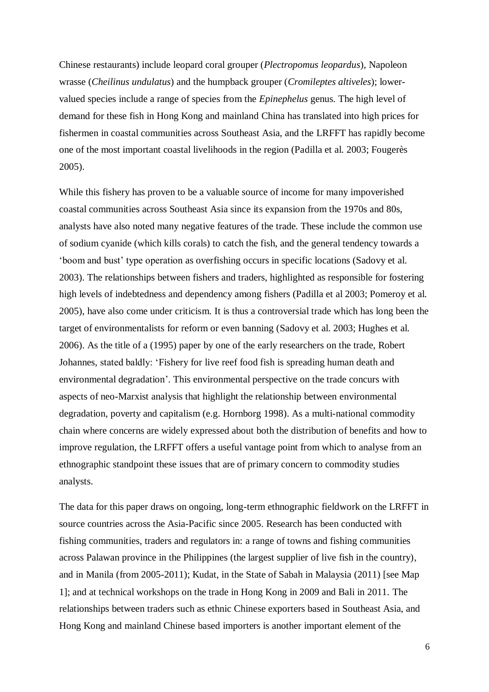Chinese restaurants) include leopard coral grouper (*Plectropomus leopardus*), Napoleon wrasse (*Cheilinus undulatus*) and the humpback grouper (*Cromileptes altiveles*); lowervalued species include a range of species from the *Epinephelus* genus. The high level of demand for these fish in Hong Kong and mainland China has translated into high prices for fishermen in coastal communities across Southeast Asia, and the LRFFT has rapidly become one of the most important coastal livelihoods in the region (Padilla et al. 2003; Fougerès 2005).

While this fishery has proven to be a valuable source of income for many impoverished coastal communities across Southeast Asia since its expansion from the 1970s and 80s, analysts have also noted many negative features of the trade. These include the common use of sodium cyanide (which kills corals) to catch the fish, and the general tendency towards a 'boom and bust' type operation as overfishing occurs in specific locations (Sadovy et al. 2003). The relationships between fishers and traders, highlighted as responsible for fostering high levels of indebtedness and dependency among fishers (Padilla et al 2003; Pomeroy et al. 2005), have also come under criticism. It is thus a controversial trade which has long been the target of environmentalists for reform or even banning (Sadovy et al. 2003; Hughes et al. 2006). As the title of a (1995) paper by one of the early researchers on the trade, Robert Johannes, stated baldly: 'Fishery for live reef food fish is spreading human death and environmental degradation'. This environmental perspective on the trade concurs with aspects of neo-Marxist analysis that highlight the relationship between environmental degradation, poverty and capitalism (e.g. Hornborg 1998). As a multi-national commodity chain where concerns are widely expressed about both the distribution of benefits and how to improve regulation, the LRFFT offers a useful vantage point from which to analyse from an ethnographic standpoint these issues that are of primary concern to commodity studies analysts.

The data for this paper draws on ongoing, long-term ethnographic fieldwork on the LRFFT in source countries across the Asia-Pacific since 2005. Research has been conducted with fishing communities, traders and regulators in: a range of towns and fishing communities across Palawan province in the Philippines (the largest supplier of live fish in the country), and in Manila (from 2005-2011); Kudat, in the State of Sabah in Malaysia (2011) [see Map 1]; and at technical workshops on the trade in Hong Kong in 2009 and Bali in 2011. The relationships between traders such as ethnic Chinese exporters based in Southeast Asia, and Hong Kong and mainland Chinese based importers is another important element of the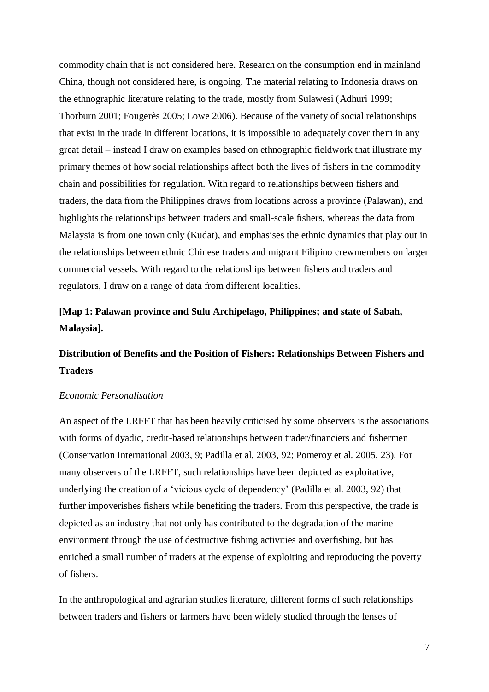commodity chain that is not considered here. Research on the consumption end in mainland China, though not considered here, is ongoing. The material relating to Indonesia draws on the ethnographic literature relating to the trade, mostly from Sulawesi (Adhuri 1999; Thorburn 2001; Fougerès 2005; Lowe 2006). Because of the variety of social relationships that exist in the trade in different locations, it is impossible to adequately cover them in any great detail – instead I draw on examples based on ethnographic fieldwork that illustrate my primary themes of how social relationships affect both the lives of fishers in the commodity chain and possibilities for regulation. With regard to relationships between fishers and traders, the data from the Philippines draws from locations across a province (Palawan), and highlights the relationships between traders and small-scale fishers, whereas the data from Malaysia is from one town only (Kudat), and emphasises the ethnic dynamics that play out in the relationships between ethnic Chinese traders and migrant Filipino crewmembers on larger commercial vessels. With regard to the relationships between fishers and traders and regulators, I draw on a range of data from different localities.

## **[Map 1: Palawan province and Sulu Archipelago, Philippines; and state of Sabah, Malaysia].**

## **Distribution of Benefits and the Position of Fishers: Relationships Between Fishers and Traders**

#### *Economic Personalisation*

An aspect of the LRFFT that has been heavily criticised by some observers is the associations with forms of dyadic, credit-based relationships between trader/financiers and fishermen (Conservation International 2003, 9; Padilla et al. 2003, 92; Pomeroy et al. 2005, 23). For many observers of the LRFFT, such relationships have been depicted as exploitative, underlying the creation of a 'vicious cycle of dependency' (Padilla et al. 2003, 92) that further impoverishes fishers while benefiting the traders. From this perspective, the trade is depicted as an industry that not only has contributed to the degradation of the marine environment through the use of destructive fishing activities and overfishing, but has enriched a small number of traders at the expense of exploiting and reproducing the poverty of fishers.

In the anthropological and agrarian studies literature, different forms of such relationships between traders and fishers or farmers have been widely studied through the lenses of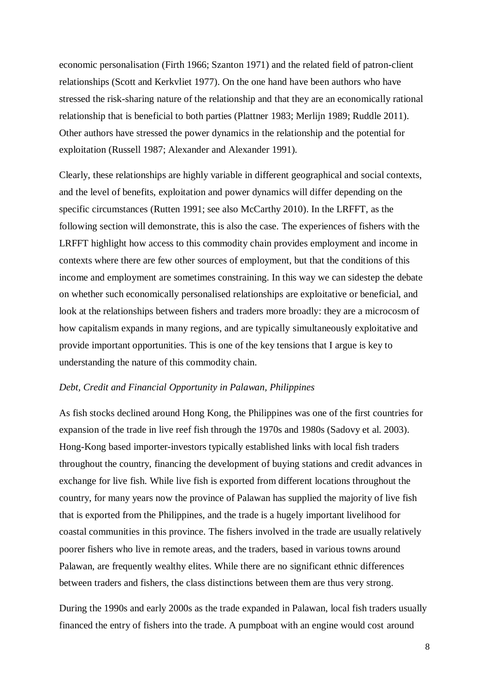economic personalisation (Firth 1966; Szanton 1971) and the related field of patron-client relationships (Scott and Kerkvliet 1977). On the one hand have been authors who have stressed the risk-sharing nature of the relationship and that they are an economically rational relationship that is beneficial to both parties (Plattner 1983; Merlijn 1989; Ruddle 2011). Other authors have stressed the power dynamics in the relationship and the potential for exploitation (Russell 1987; Alexander and Alexander 1991).

Clearly, these relationships are highly variable in different geographical and social contexts, and the level of benefits, exploitation and power dynamics will differ depending on the specific circumstances (Rutten 1991; see also McCarthy 2010). In the LRFFT, as the following section will demonstrate, this is also the case. The experiences of fishers with the LRFFT highlight how access to this commodity chain provides employment and income in contexts where there are few other sources of employment, but that the conditions of this income and employment are sometimes constraining. In this way we can sidestep the debate on whether such economically personalised relationships are exploitative or beneficial, and look at the relationships between fishers and traders more broadly: they are a microcosm of how capitalism expands in many regions, and are typically simultaneously exploitative and provide important opportunities. This is one of the key tensions that I argue is key to understanding the nature of this commodity chain.

#### *Debt, Credit and Financial Opportunity in Palawan, Philippines*

As fish stocks declined around Hong Kong, the Philippines was one of the first countries for expansion of the trade in live reef fish through the 1970s and 1980s (Sadovy et al. 2003). Hong-Kong based importer-investors typically established links with local fish traders throughout the country, financing the development of buying stations and credit advances in exchange for live fish. While live fish is exported from different locations throughout the country, for many years now the province of Palawan has supplied the majority of live fish that is exported from the Philippines, and the trade is a hugely important livelihood for coastal communities in this province. The fishers involved in the trade are usually relatively poorer fishers who live in remote areas, and the traders, based in various towns around Palawan, are frequently wealthy elites. While there are no significant ethnic differences between traders and fishers, the class distinctions between them are thus very strong.

During the 1990s and early 2000s as the trade expanded in Palawan, local fish traders usually financed the entry of fishers into the trade. A pumpboat with an engine would cost around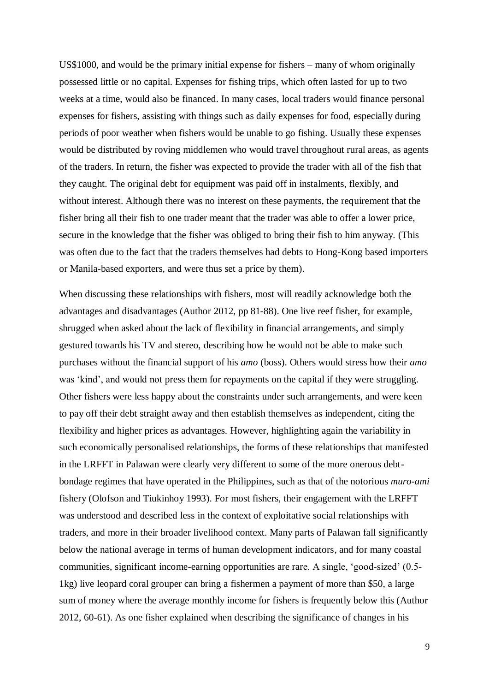US\$1000, and would be the primary initial expense for fishers – many of whom originally possessed little or no capital. Expenses for fishing trips, which often lasted for up to two weeks at a time, would also be financed. In many cases, local traders would finance personal expenses for fishers, assisting with things such as daily expenses for food, especially during periods of poor weather when fishers would be unable to go fishing. Usually these expenses would be distributed by roving middlemen who would travel throughout rural areas, as agents of the traders. In return, the fisher was expected to provide the trader with all of the fish that they caught. The original debt for equipment was paid off in instalments, flexibly, and without interest. Although there was no interest on these payments, the requirement that the fisher bring all their fish to one trader meant that the trader was able to offer a lower price, secure in the knowledge that the fisher was obliged to bring their fish to him anyway. (This was often due to the fact that the traders themselves had debts to Hong-Kong based importers or Manila-based exporters, and were thus set a price by them).

When discussing these relationships with fishers, most will readily acknowledge both the advantages and disadvantages (Author 2012, pp 81-88). One live reef fisher, for example, shrugged when asked about the lack of flexibility in financial arrangements, and simply gestured towards his TV and stereo, describing how he would not be able to make such purchases without the financial support of his *amo* (boss). Others would stress how their *amo* was 'kind', and would not press them for repayments on the capital if they were struggling. Other fishers were less happy about the constraints under such arrangements, and were keen to pay off their debt straight away and then establish themselves as independent, citing the flexibility and higher prices as advantages. However, highlighting again the variability in such economically personalised relationships, the forms of these relationships that manifested in the LRFFT in Palawan were clearly very different to some of the more onerous debtbondage regimes that have operated in the Philippines, such as that of the notorious *muro-ami* fishery (Olofson and Tiukinhoy 1993). For most fishers, their engagement with the LRFFT was understood and described less in the context of exploitative social relationships with traders, and more in their broader livelihood context. Many parts of Palawan fall significantly below the national average in terms of human development indicators, and for many coastal communities, significant income-earning opportunities are rare. A single, 'good-sized' (0.5- 1kg) live leopard coral grouper can bring a fishermen a payment of more than \$50, a large sum of money where the average monthly income for fishers is frequently below this (Author 2012, 60-61). As one fisher explained when describing the significance of changes in his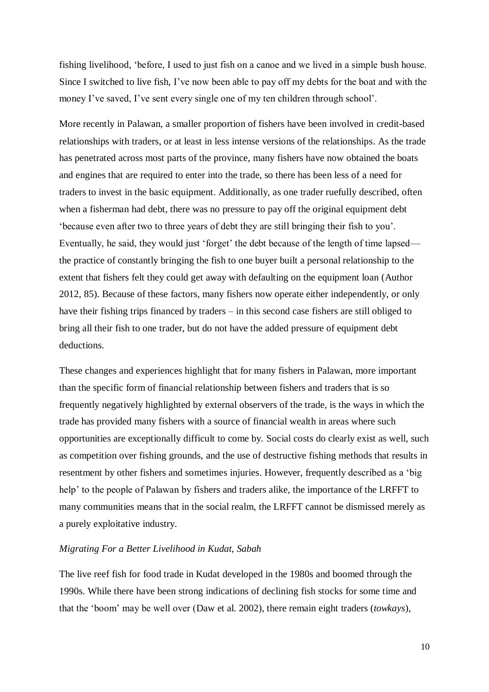fishing livelihood, 'before, I used to just fish on a canoe and we lived in a simple bush house. Since I switched to live fish, I've now been able to pay off my debts for the boat and with the money I've saved, I've sent every single one of my ten children through school'.

More recently in Palawan, a smaller proportion of fishers have been involved in credit-based relationships with traders, or at least in less intense versions of the relationships. As the trade has penetrated across most parts of the province, many fishers have now obtained the boats and engines that are required to enter into the trade, so there has been less of a need for traders to invest in the basic equipment. Additionally, as one trader ruefully described, often when a fisherman had debt, there was no pressure to pay off the original equipment debt 'because even after two to three years of debt they are still bringing their fish to you'. Eventually, he said, they would just 'forget' the debt because of the length of time lapsed the practice of constantly bringing the fish to one buyer built a personal relationship to the extent that fishers felt they could get away with defaulting on the equipment loan (Author 2012, 85). Because of these factors, many fishers now operate either independently, or only have their fishing trips financed by traders – in this second case fishers are still obliged to bring all their fish to one trader, but do not have the added pressure of equipment debt deductions.

These changes and experiences highlight that for many fishers in Palawan, more important than the specific form of financial relationship between fishers and traders that is so frequently negatively highlighted by external observers of the trade, is the ways in which the trade has provided many fishers with a source of financial wealth in areas where such opportunities are exceptionally difficult to come by. Social costs do clearly exist as well, such as competition over fishing grounds, and the use of destructive fishing methods that results in resentment by other fishers and sometimes injuries. However, frequently described as a 'big help' to the people of Palawan by fishers and traders alike, the importance of the LRFFT to many communities means that in the social realm, the LRFFT cannot be dismissed merely as a purely exploitative industry.

#### *Migrating For a Better Livelihood in Kudat, Sabah*

The live reef fish for food trade in Kudat developed in the 1980s and boomed through the 1990s. While there have been strong indications of declining fish stocks for some time and that the 'boom' may be well over (Daw et al. 2002), there remain eight traders (*towkays*),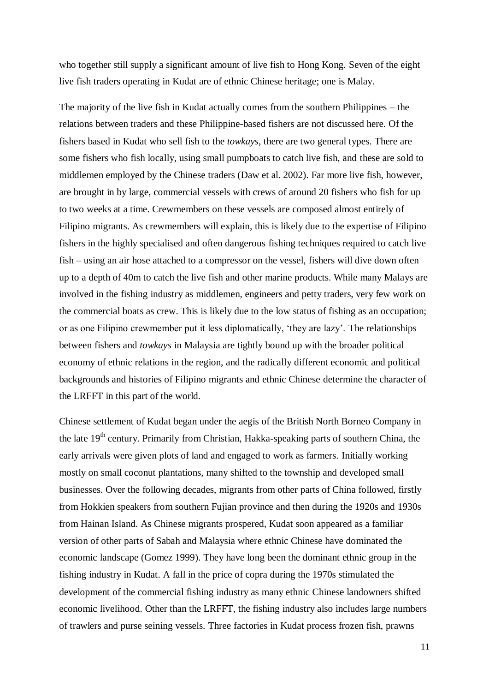who together still supply a significant amount of live fish to Hong Kong. Seven of the eight live fish traders operating in Kudat are of ethnic Chinese heritage; one is Malay.

The majority of the live fish in Kudat actually comes from the southern Philippines – the relations between traders and these Philippine-based fishers are not discussed here. Of the fishers based in Kudat who sell fish to the *towkays*, there are two general types. There are some fishers who fish locally, using small pumpboats to catch live fish, and these are sold to middlemen employed by the Chinese traders (Daw et al. 2002). Far more live fish, however, are brought in by large, commercial vessels with crews of around 20 fishers who fish for up to two weeks at a time. Crewmembers on these vessels are composed almost entirely of Filipino migrants. As crewmembers will explain, this is likely due to the expertise of Filipino fishers in the highly specialised and often dangerous fishing techniques required to catch live fish – using an air hose attached to a compressor on the vessel, fishers will dive down often up to a depth of 40m to catch the live fish and other marine products. While many Malays are involved in the fishing industry as middlemen, engineers and petty traders, very few work on the commercial boats as crew. This is likely due to the low status of fishing as an occupation; or as one Filipino crewmember put it less diplomatically, 'they are lazy'. The relationships between fishers and *towkays* in Malaysia are tightly bound up with the broader political economy of ethnic relations in the region, and the radically different economic and political backgrounds and histories of Filipino migrants and ethnic Chinese determine the character of the LRFFT in this part of the world.

Chinese settlement of Kudat began under the aegis of the British North Borneo Company in the late  $19<sup>th</sup>$  century. Primarily from Christian, Hakka-speaking parts of southern China, the early arrivals were given plots of land and engaged to work as farmers. Initially working mostly on small coconut plantations, many shifted to the township and developed small businesses. Over the following decades, migrants from other parts of China followed, firstly from Hokkien speakers from southern Fujian province and then during the 1920s and 1930s from Hainan Island. As Chinese migrants prospered, Kudat soon appeared as a familiar version of other parts of Sabah and Malaysia where ethnic Chinese have dominated the economic landscape (Gomez 1999). They have long been the dominant ethnic group in the fishing industry in Kudat. A fall in the price of copra during the 1970s stimulated the development of the commercial fishing industry as many ethnic Chinese landowners shifted economic livelihood. Other than the LRFFT, the fishing industry also includes large numbers of trawlers and purse seining vessels. Three factories in Kudat process frozen fish, prawns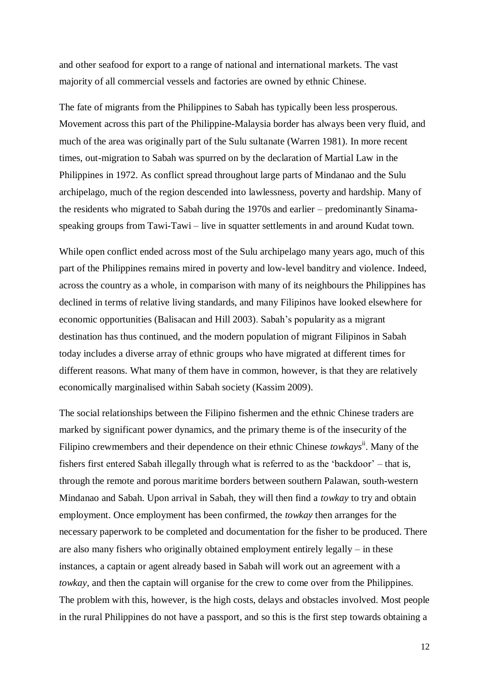and other seafood for export to a range of national and international markets. The vast majority of all commercial vessels and factories are owned by ethnic Chinese.

The fate of migrants from the Philippines to Sabah has typically been less prosperous. Movement across this part of the Philippine-Malaysia border has always been very fluid, and much of the area was originally part of the Sulu sultanate (Warren 1981). In more recent times, out-migration to Sabah was spurred on by the declaration of Martial Law in the Philippines in 1972. As conflict spread throughout large parts of Mindanao and the Sulu archipelago, much of the region descended into lawlessness, poverty and hardship. Many of the residents who migrated to Sabah during the 1970s and earlier – predominantly Sinamaspeaking groups from Tawi-Tawi – live in squatter settlements in and around Kudat town.

While open conflict ended across most of the Sulu archipelago many years ago, much of this part of the Philippines remains mired in poverty and low-level banditry and violence. Indeed, across the country as a whole, in comparison with many of its neighbours the Philippines has declined in terms of relative living standards, and many Filipinos have looked elsewhere for economic opportunities (Balisacan and Hill 2003). Sabah's popularity as a migrant destination has thus continued, and the modern population of migrant Filipinos in Sabah today includes a diverse array of ethnic groups who have migrated at different times for different reasons. What many of them have in common, however, is that they are relatively economically marginalised within Sabah society (Kassim 2009).

The social relationships between the Filipino fishermen and the ethnic Chinese traders are marked by significant power dynamics, and the primary theme is of the insecurity of the Filipino crewmembers and their dependence on their ethnic Chinese *towkays*<sup>ii</sup>. Many of the fishers first entered Sabah illegally through what is referred to as the 'backdoor' – that is, through the remote and porous maritime borders between southern Palawan, south-western Mindanao and Sabah. Upon arrival in Sabah, they will then find a *towkay* to try and obtain employment. Once employment has been confirmed, the *towkay* then arranges for the necessary paperwork to be completed and documentation for the fisher to be produced. There are also many fishers who originally obtained employment entirely legally – in these instances, a captain or agent already based in Sabah will work out an agreement with a *towkay*, and then the captain will organise for the crew to come over from the Philippines. The problem with this, however, is the high costs, delays and obstacles involved. Most people in the rural Philippines do not have a passport, and so this is the first step towards obtaining a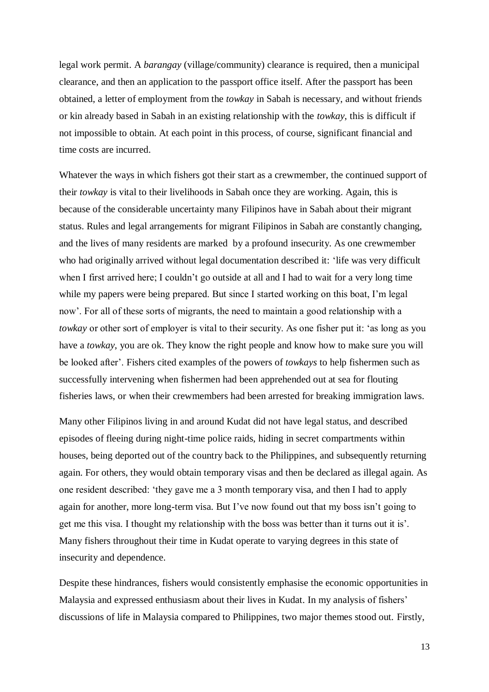legal work permit. A *barangay* (village/community) clearance is required, then a municipal clearance, and then an application to the passport office itself. After the passport has been obtained, a letter of employment from the *towkay* in Sabah is necessary, and without friends or kin already based in Sabah in an existing relationship with the *towkay*, this is difficult if not impossible to obtain. At each point in this process, of course, significant financial and time costs are incurred.

Whatever the ways in which fishers got their start as a crewmember, the continued support of their *towkay* is vital to their livelihoods in Sabah once they are working. Again, this is because of the considerable uncertainty many Filipinos have in Sabah about their migrant status. Rules and legal arrangements for migrant Filipinos in Sabah are constantly changing, and the lives of many residents are marked by a profound insecurity. As one crewmember who had originally arrived without legal documentation described it: 'life was very difficult when I first arrived here; I couldn't go outside at all and I had to wait for a very long time while my papers were being prepared. But since I started working on this boat, I'm legal now'. For all of these sorts of migrants, the need to maintain a good relationship with a *towkay* or other sort of employer is vital to their security. As one fisher put it: 'as long as you have a *towkay*, you are ok. They know the right people and know how to make sure you will be looked after'. Fishers cited examples of the powers of *towkays* to help fishermen such as successfully intervening when fishermen had been apprehended out at sea for flouting fisheries laws, or when their crewmembers had been arrested for breaking immigration laws.

Many other Filipinos living in and around Kudat did not have legal status, and described episodes of fleeing during night-time police raids, hiding in secret compartments within houses, being deported out of the country back to the Philippines, and subsequently returning again. For others, they would obtain temporary visas and then be declared as illegal again. As one resident described: 'they gave me a 3 month temporary visa, and then I had to apply again for another, more long-term visa. But I've now found out that my boss isn't going to get me this visa. I thought my relationship with the boss was better than it turns out it is'. Many fishers throughout their time in Kudat operate to varying degrees in this state of insecurity and dependence.

Despite these hindrances, fishers would consistently emphasise the economic opportunities in Malaysia and expressed enthusiasm about their lives in Kudat. In my analysis of fishers' discussions of life in Malaysia compared to Philippines, two major themes stood out. Firstly,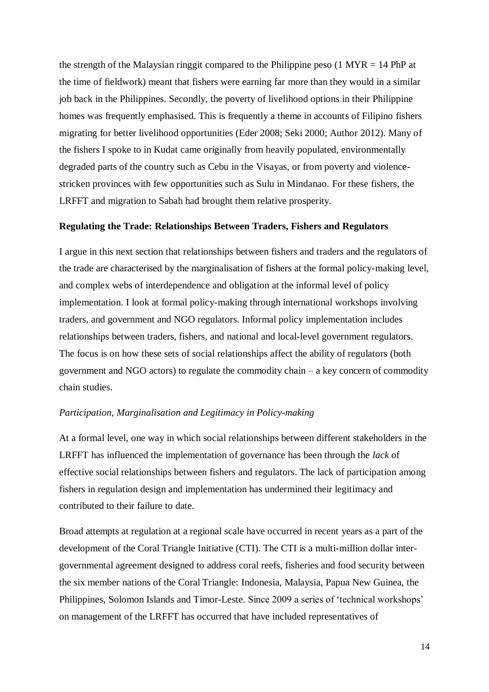the strength of the Malaysian ringgit compared to the Philippine peso (1 MYR = 14 PhP at the time of fieldwork) meant that fishers were earning far more than they would in a similar job back in the Philippines. Secondly, the poverty of livelihood options in their Philippine homes was frequently emphasised. This is frequently a theme in accounts of Filipino fishers migrating for better livelihood opportunities (Eder 2008; Seki 2000; Author 2012). Many of the fishers I spoke to in Kudat came originally from heavily populated, environmentally degraded parts of the country such as Cebu in the Visayas, or from poverty and violencestricken provinces with few opportunities such as Sulu in Mindanao. For these fishers, the LRFFT and migration to Sabah had brought them relative prosperity.

#### **Regulating the Trade: Relationships Between Traders, Fishers and Regulators**

I argue in this next section that relationships between fishers and traders and the regulators of the trade are characterised by the marginalisation of fishers at the formal policy-making level, and complex webs of interdependence and obligation at the informal level of policy implementation. I look at formal policy-making through international workshops involving traders, and government and NGO regulators. Informal policy implementation includes relationships between traders, fishers, and national and local-level government regulators. The focus is on how these sets of social relationships affect the ability of regulators (both government and NGO actors) to regulate the commodity chain – a key concern of commodity chain studies.

#### *Participation, Marginalisation and Legitimacy in Policy-making*

At a formal level, one way in which social relationships between different stakeholders in the LRFFT has influenced the implementation of governance has been through the *lack* of effective social relationships between fishers and regulators. The lack of participation among fishers in regulation design and implementation has undermined their legitimacy and contributed to their failure to date.

Broad attempts at regulation at a regional scale have occurred in recent years as a part of the development of the Coral Triangle Initiative (CTI). The CTI is a multi-million dollar intergovernmental agreement designed to address coral reefs, fisheries and food security between the six member nations of the Coral Triangle: Indonesia, Malaysia, Papua New Guinea, the Philippines, Solomon Islands and Timor-Leste. Since 2009 a series of 'technical workshops' on management of the LRFFT has occurred that have included representatives of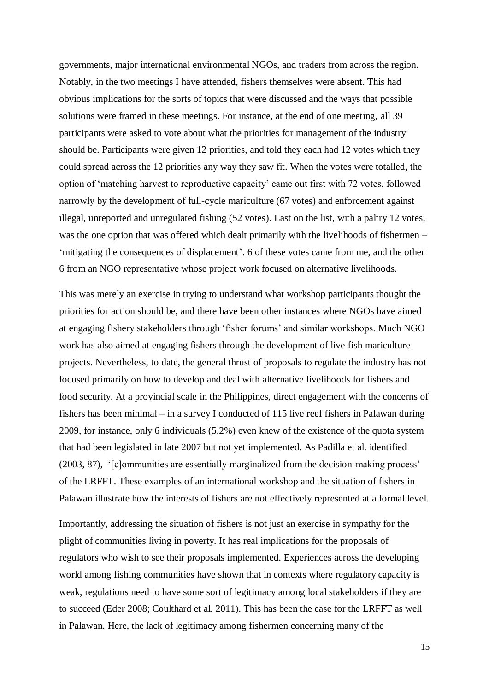governments, major international environmental NGOs, and traders from across the region. Notably, in the two meetings I have attended, fishers themselves were absent. This had obvious implications for the sorts of topics that were discussed and the ways that possible solutions were framed in these meetings. For instance, at the end of one meeting, all 39 participants were asked to vote about what the priorities for management of the industry should be. Participants were given 12 priorities, and told they each had 12 votes which they could spread across the 12 priorities any way they saw fit. When the votes were totalled, the option of 'matching harvest to reproductive capacity' came out first with 72 votes, followed narrowly by the development of full-cycle mariculture (67 votes) and enforcement against illegal, unreported and unregulated fishing (52 votes). Last on the list, with a paltry 12 votes, was the one option that was offered which dealt primarily with the livelihoods of fishermen – 'mitigating the consequences of displacement'. 6 of these votes came from me, and the other 6 from an NGO representative whose project work focused on alternative livelihoods.

This was merely an exercise in trying to understand what workshop participants thought the priorities for action should be, and there have been other instances where NGOs have aimed at engaging fishery stakeholders through 'fisher forums' and similar workshops. Much NGO work has also aimed at engaging fishers through the development of live fish mariculture projects. Nevertheless, to date, the general thrust of proposals to regulate the industry has not focused primarily on how to develop and deal with alternative livelihoods for fishers and food security. At a provincial scale in the Philippines, direct engagement with the concerns of fishers has been minimal – in a survey I conducted of 115 live reef fishers in Palawan during 2009, for instance, only 6 individuals (5.2%) even knew of the existence of the quota system that had been legislated in late 2007 but not yet implemented. As Padilla et al. identified (2003, 87), '[c]ommunities are essentially marginalized from the decision-making process' of the LRFFT. These examples of an international workshop and the situation of fishers in Palawan illustrate how the interests of fishers are not effectively represented at a formal level.

Importantly, addressing the situation of fishers is not just an exercise in sympathy for the plight of communities living in poverty. It has real implications for the proposals of regulators who wish to see their proposals implemented. Experiences across the developing world among fishing communities have shown that in contexts where regulatory capacity is weak, regulations need to have some sort of legitimacy among local stakeholders if they are to succeed (Eder 2008; Coulthard et al. 2011). This has been the case for the LRFFT as well in Palawan. Here, the lack of legitimacy among fishermen concerning many of the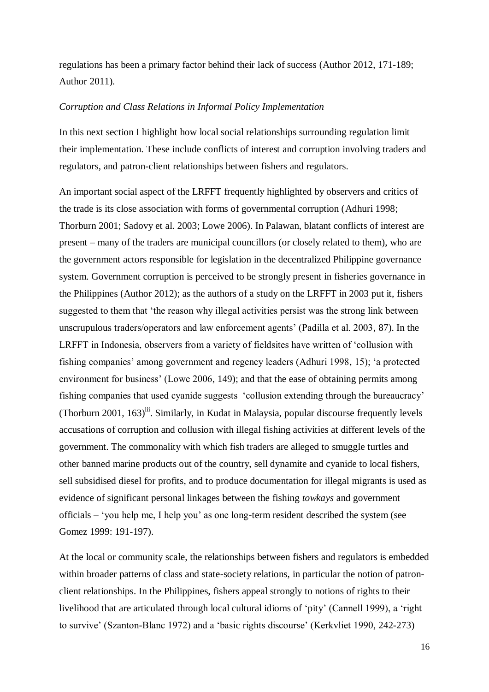regulations has been a primary factor behind their lack of success (Author 2012, 171-189; Author 2011).

#### *Corruption and Class Relations in Informal Policy Implementation*

In this next section I highlight how local social relationships surrounding regulation limit their implementation. These include conflicts of interest and corruption involving traders and regulators, and patron-client relationships between fishers and regulators.

An important social aspect of the LRFFT frequently highlighted by observers and critics of the trade is its close association with forms of governmental corruption (Adhuri 1998; Thorburn 2001; Sadovy et al. 2003; Lowe 2006). In Palawan, blatant conflicts of interest are present – many of the traders are municipal councillors (or closely related to them), who are the government actors responsible for legislation in the decentralized Philippine governance system. Government corruption is perceived to be strongly present in fisheries governance in the Philippines (Author 2012); as the authors of a study on the LRFFT in 2003 put it, fishers suggested to them that 'the reason why illegal activities persist was the strong link between unscrupulous traders/operators and law enforcement agents' (Padilla et al. 2003, 87). In the LRFFT in Indonesia, observers from a variety of fieldsites have written of 'collusion with fishing companies' among government and regency leaders (Adhuri 1998, 15); 'a protected environment for business' (Lowe 2006, 149); and that the ease of obtaining permits among fishing companies that used cyanide suggests 'collusion extending through the bureaucracy' (Thorburn 2001, 163)<sup>iii</sup>. Similarly, in Kudat in Malaysia, popular discourse frequently levels accusations of corruption and collusion with illegal fishing activities at different levels of the government. The commonality with which fish traders are alleged to smuggle turtles and other banned marine products out of the country, sell dynamite and cyanide to local fishers, sell subsidised diesel for profits, and to produce documentation for illegal migrants is used as evidence of significant personal linkages between the fishing *towkays* and government officials – 'you help me, I help you' as one long-term resident described the system (see Gomez 1999: 191-197).

At the local or community scale, the relationships between fishers and regulators is embedded within broader patterns of class and state-society relations, in particular the notion of patronclient relationships. In the Philippines, fishers appeal strongly to notions of rights to their livelihood that are articulated through local cultural idioms of 'pity' (Cannell 1999), a 'right to survive' (Szanton-Blanc 1972) and a 'basic rights discourse' (Kerkvliet 1990, 242-273)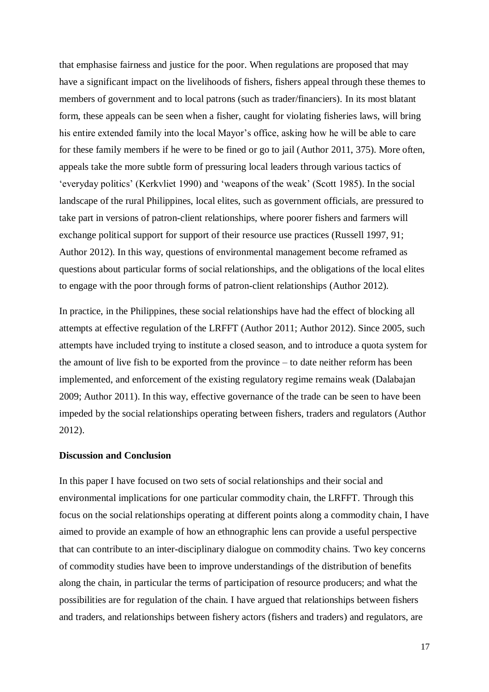that emphasise fairness and justice for the poor. When regulations are proposed that may have a significant impact on the livelihoods of fishers, fishers appeal through these themes to members of government and to local patrons (such as trader/financiers). In its most blatant form, these appeals can be seen when a fisher, caught for violating fisheries laws, will bring his entire extended family into the local Mayor's office, asking how he will be able to care for these family members if he were to be fined or go to jail (Author 2011, 375). More often, appeals take the more subtle form of pressuring local leaders through various tactics of 'everyday politics' (Kerkvliet 1990) and 'weapons of the weak' (Scott 1985). In the social landscape of the rural Philippines, local elites, such as government officials, are pressured to take part in versions of patron-client relationships, where poorer fishers and farmers will exchange political support for support of their resource use practices (Russell 1997, 91; Author 2012). In this way, questions of environmental management become reframed as questions about particular forms of social relationships, and the obligations of the local elites to engage with the poor through forms of patron-client relationships (Author 2012).

In practice, in the Philippines, these social relationships have had the effect of blocking all attempts at effective regulation of the LRFFT (Author 2011; Author 2012). Since 2005, such attempts have included trying to institute a closed season, and to introduce a quota system for the amount of live fish to be exported from the province – to date neither reform has been implemented, and enforcement of the existing regulatory regime remains weak (Dalabajan 2009; Author 2011). In this way, effective governance of the trade can be seen to have been impeded by the social relationships operating between fishers, traders and regulators (Author 2012).

#### **Discussion and Conclusion**

In this paper I have focused on two sets of social relationships and their social and environmental implications for one particular commodity chain, the LRFFT. Through this focus on the social relationships operating at different points along a commodity chain, I have aimed to provide an example of how an ethnographic lens can provide a useful perspective that can contribute to an inter-disciplinary dialogue on commodity chains. Two key concerns of commodity studies have been to improve understandings of the distribution of benefits along the chain, in particular the terms of participation of resource producers; and what the possibilities are for regulation of the chain. I have argued that relationships between fishers and traders, and relationships between fishery actors (fishers and traders) and regulators, are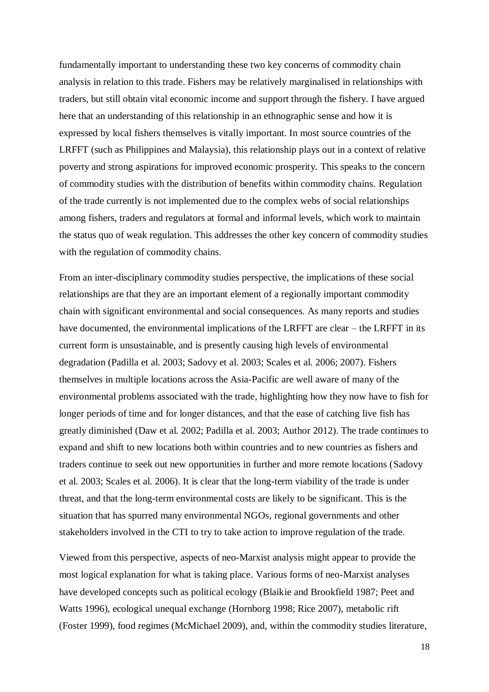fundamentally important to understanding these two key concerns of commodity chain analysis in relation to this trade. Fishers may be relatively marginalised in relationships with traders, but still obtain vital economic income and support through the fishery. I have argued here that an understanding of this relationship in an ethnographic sense and how it is expressed by local fishers themselves is vitally important. In most source countries of the LRFFT (such as Philippines and Malaysia), this relationship plays out in a context of relative poverty and strong aspirations for improved economic prosperity. This speaks to the concern of commodity studies with the distribution of benefits within commodity chains. Regulation of the trade currently is not implemented due to the complex webs of social relationships among fishers, traders and regulators at formal and informal levels, which work to maintain the status quo of weak regulation. This addresses the other key concern of commodity studies with the regulation of commodity chains.

From an inter-disciplinary commodity studies perspective, the implications of these social relationships are that they are an important element of a regionally important commodity chain with significant environmental and social consequences. As many reports and studies have documented, the environmental implications of the LRFFT are clear – the LRFFT in its current form is unsustainable, and is presently causing high levels of environmental degradation (Padilla et al. 2003; Sadovy et al. 2003; Scales et al. 2006; 2007). Fishers themselves in multiple locations across the Asia-Pacific are well aware of many of the environmental problems associated with the trade, highlighting how they now have to fish for longer periods of time and for longer distances, and that the ease of catching live fish has greatly diminished (Daw et al. 2002; Padilla et al. 2003; Author 2012). The trade continues to expand and shift to new locations both within countries and to new countries as fishers and traders continue to seek out new opportunities in further and more remote locations (Sadovy et al. 2003; Scales et al. 2006). It is clear that the long-term viability of the trade is under threat, and that the long-term environmental costs are likely to be significant. This is the situation that has spurred many environmental NGOs, regional governments and other stakeholders involved in the CTI to try to take action to improve regulation of the trade.

Viewed from this perspective, aspects of neo-Marxist analysis might appear to provide the most logical explanation for what is taking place. Various forms of neo-Marxist analyses have developed concepts such as political ecology (Blaikie and Brookfield 1987; Peet and Watts 1996), ecological unequal exchange (Hornborg 1998; Rice 2007), metabolic rift (Foster 1999), food regimes (McMichael 2009), and, within the commodity studies literature,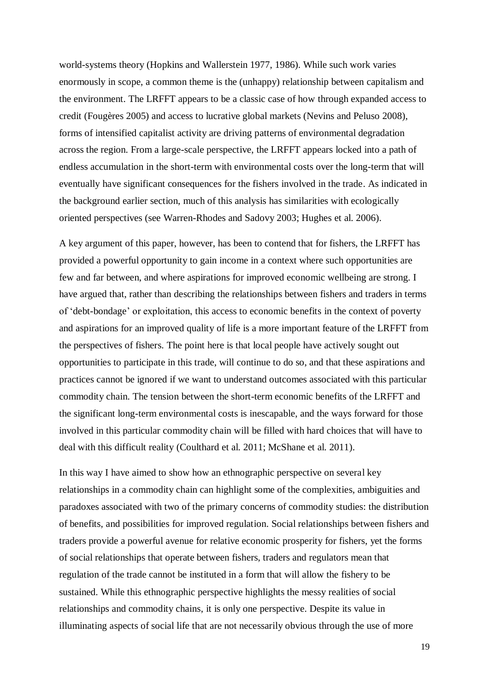world-systems theory (Hopkins and Wallerstein 1977, 1986). While such work varies enormously in scope, a common theme is the (unhappy) relationship between capitalism and the environment. The LRFFT appears to be a classic case of how through expanded access to credit (Fougères 2005) and access to lucrative global markets (Nevins and Peluso 2008), forms of intensified capitalist activity are driving patterns of environmental degradation across the region. From a large-scale perspective, the LRFFT appears locked into a path of endless accumulation in the short-term with environmental costs over the long-term that will eventually have significant consequences for the fishers involved in the trade. As indicated in the background earlier section, much of this analysis has similarities with ecologically oriented perspectives (see Warren-Rhodes and Sadovy 2003; Hughes et al. 2006).

A key argument of this paper, however, has been to contend that for fishers, the LRFFT has provided a powerful opportunity to gain income in a context where such opportunities are few and far between, and where aspirations for improved economic wellbeing are strong. I have argued that, rather than describing the relationships between fishers and traders in terms of 'debt-bondage' or exploitation, this access to economic benefits in the context of poverty and aspirations for an improved quality of life is a more important feature of the LRFFT from the perspectives of fishers. The point here is that local people have actively sought out opportunities to participate in this trade, will continue to do so, and that these aspirations and practices cannot be ignored if we want to understand outcomes associated with this particular commodity chain. The tension between the short-term economic benefits of the LRFFT and the significant long-term environmental costs is inescapable, and the ways forward for those involved in this particular commodity chain will be filled with hard choices that will have to deal with this difficult reality (Coulthard et al. 2011; McShane et al. 2011).

In this way I have aimed to show how an ethnographic perspective on several key relationships in a commodity chain can highlight some of the complexities, ambiguities and paradoxes associated with two of the primary concerns of commodity studies: the distribution of benefits, and possibilities for improved regulation. Social relationships between fishers and traders provide a powerful avenue for relative economic prosperity for fishers, yet the forms of social relationships that operate between fishers, traders and regulators mean that regulation of the trade cannot be instituted in a form that will allow the fishery to be sustained. While this ethnographic perspective highlights the messy realities of social relationships and commodity chains, it is only one perspective. Despite its value in illuminating aspects of social life that are not necessarily obvious through the use of more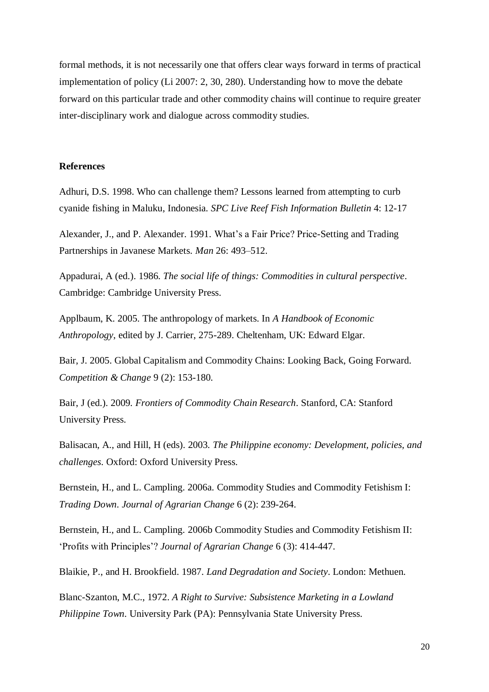formal methods, it is not necessarily one that offers clear ways forward in terms of practical implementation of policy (Li 2007: 2, 30, 280). Understanding how to move the debate forward on this particular trade and other commodity chains will continue to require greater inter-disciplinary work and dialogue across commodity studies.

#### **References**

Adhuri, D.S. 1998. Who can challenge them? Lessons learned from attempting to curb cyanide fishing in Maluku, Indonesia. *SPC Live Reef Fish Information Bulletin* 4: 12-17

Alexander, J., and P. Alexander. 1991. What's a Fair Price? Price-Setting and Trading Partnerships in Javanese Markets. *Man* 26: 493–512.

Appadurai, A (ed.). 1986. *The social life of things: Commodities in cultural perspective*. Cambridge: Cambridge University Press.

Applbaum, K. 2005. The anthropology of markets. In *A Handbook of Economic Anthropology*, edited by J. Carrier, 275-289. Cheltenham, UK: Edward Elgar.

Bair, J. 2005. Global Capitalism and Commodity Chains: Looking Back, Going Forward. *Competition & Change* 9 (2): 153-180.

Bair, J (ed.). 2009. *Frontiers of Commodity Chain Research*. Stanford, CA: Stanford University Press.

Balisacan, A., and Hill, H (eds). 2003. *The Philippine economy: Development, policies, and challenges*. Oxford: Oxford University Press.

Bernstein, H., and L. Campling. 2006a. Commodity Studies and Commodity Fetishism I: *Trading Down*. *Journal of Agrarian Change* 6 (2): 239-264.

Bernstein, H., and L. Campling. 2006b Commodity Studies and Commodity Fetishism II: 'Profits with Principles'? *Journal of Agrarian Change* 6 (3): 414-447.

Blaikie, P., and H. Brookfield. 1987. *Land Degradation and Society*. London: Methuen.

Blanc-Szanton, M.C., 1972. *A Right to Survive: Subsistence Marketing in a Lowland Philippine Town*. University Park (PA): Pennsylvania State University Press.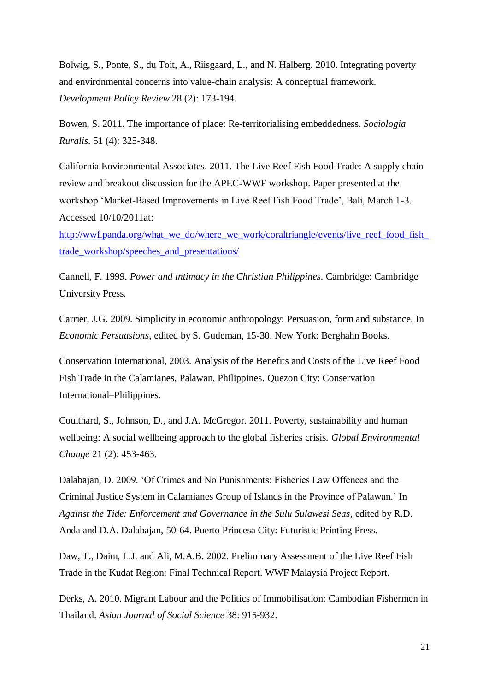Bolwig, S., Ponte, S., du Toit, A., Riisgaard, L., and N. Halberg. 2010. Integrating poverty and environmental concerns into value-chain analysis: A conceptual framework. *Development Policy Review* 28 (2): 173-194.

Bowen, S. 2011. The importance of place: Re-territorialising embeddedness. *Sociologia Ruralis*. 51 (4): 325-348.

California Environmental Associates. 2011. The Live Reef Fish Food Trade: A supply chain review and breakout discussion for the APEC-WWF workshop. Paper presented at the workshop 'Market-Based Improvements in Live Reef Fish Food Trade', Bali, March 1-3. Accessed 10/10/2011at:

http://wwf.panda.org/what\_we\_do/where\_we\_work/coraltriangle/events/live\_reef\_food\_fish [trade\\_workshop/speeches\\_and\\_presentations/](http://wwf.panda.org/what_we_do/where_we_work/coraltriangle/events/live_reef_food_fish_trade_workshop/speeches_and_presentations/) 

Cannell, F. 1999. *Power and intimacy in the Christian Philippines*. Cambridge: Cambridge University Press.

Carrier, J.G. 2009. Simplicity in economic anthropology: Persuasion, form and substance. In *Economic Persuasions*, edited by S. Gudeman, 15-30. New York: Berghahn Books.

Conservation International, 2003. Analysis of the Benefits and Costs of the Live Reef Food Fish Trade in the Calamianes, Palawan, Philippines. Quezon City: Conservation International–Philippines.

Coulthard, S., Johnson, D., and J.A. McGregor. 2011. Poverty, sustainability and human wellbeing: A social wellbeing approach to the global fisheries crisis. *Global Environmental Change* 21 (2): 453-463.

Dalabajan, D. 2009. 'Of Crimes and No Punishments: Fisheries Law Offences and the Criminal Justice System in Calamianes Group of Islands in the Province of Palawan.' In *Against the Tide: Enforcement and Governance in the Sulu Sulawesi Seas*, edited by R.D. Anda and D.A. Dalabajan, 50-64. Puerto Princesa City: Futuristic Printing Press.

Daw, T., Daim, L.J. and Ali, M.A.B. 2002. Preliminary Assessment of the Live Reef Fish Trade in the Kudat Region: Final Technical Report. WWF Malaysia Project Report.

Derks, A. 2010. Migrant Labour and the Politics of Immobilisation: Cambodian Fishermen in Thailand. *Asian Journal of Social Science* 38: 915-932.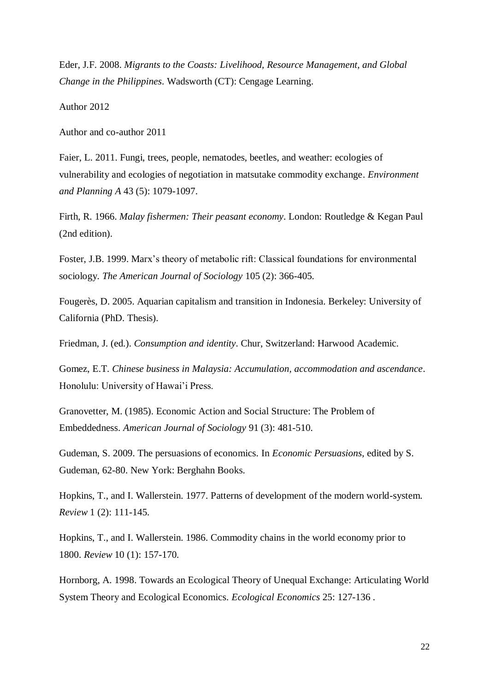Eder, J.F. 2008. *Migrants to the Coasts: Livelihood, Resource Management, and Global Change in the Philippines*. Wadsworth (CT): Cengage Learning.

Author 2012

Author and co-author 2011

Faier, L. 2011. Fungi, trees, people, nematodes, beetles, and weather: ecologies of vulnerability and ecologies of negotiation in matsutake commodity exchange. *Environment and Planning A* 43 (5): 1079-1097.

Firth, R. 1966. *Malay fishermen: Their peasant economy*. London: Routledge & Kegan Paul (2nd edition).

Foster, J.B. 1999. Marx's theory of metabolic rift: Classical foundations for environmental sociology. *The American Journal of Sociology* 105 (2): 366-405.

Fougerès, D. 2005. Aquarian capitalism and transition in Indonesia. Berkeley: University of California (PhD. Thesis).

Friedman, J. (ed.). *Consumption and identity*. Chur, Switzerland: Harwood Academic.

Gomez, E.T. *Chinese business in Malaysia: Accumulation, accommodation and ascendance*. Honolulu: University of Hawai'i Press.

Granovetter, M. (1985). Economic Action and Social Structure: The Problem of Embeddedness. *American Journal of Sociology* 91 (3): 481-510.

Gudeman, S. 2009. The persuasions of economics. In *Economic Persuasions*, edited by S. Gudeman, 62-80. New York: Berghahn Books.

Hopkins, T., and I. Wallerstein. 1977. Patterns of development of the modern world-system. *Review* 1 (2): 111-145.

Hopkins, T., and I. Wallerstein. 1986. Commodity chains in the world economy prior to 1800. *Review* 10 (1): 157-170.

Hornborg, A. 1998. Towards an Ecological Theory of Unequal Exchange: Articulating World System Theory and Ecological Economics. *Ecological Economics* 25: 127-136 .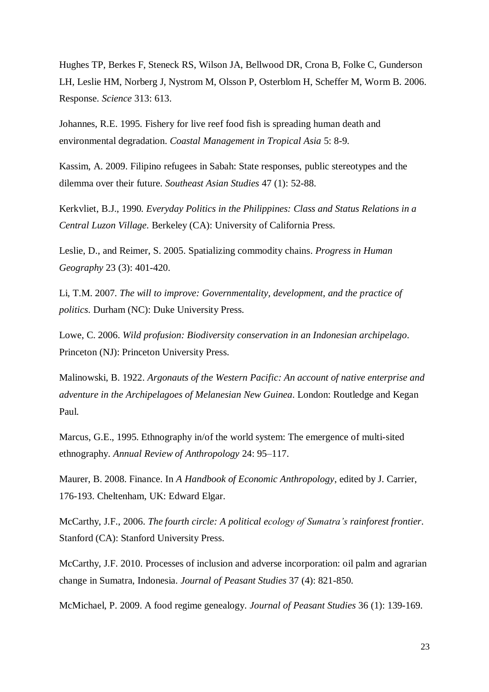Hughes TP, Berkes F, Steneck RS, Wilson JA, Bellwood DR, Crona B, Folke C, Gunderson LH, Leslie HM, Norberg J, Nystrom M, Olsson P, Osterblom H, Scheffer M, Worm B. 2006. Response. *Science* 313: 613.

Johannes, R.E. 1995. Fishery for live reef food fish is spreading human death and environmental degradation. *Coastal Management in Tropical Asia* 5: 8-9.

Kassim, A. 2009. Filipino refugees in Sabah: State responses, public stereotypes and the dilemma over their future. *Southeast Asian Studies* 47 (1): 52-88.

Kerkvliet, B.J., 1990*. Everyday Politics in the Philippines: Class and Status Relations in a Central Luzon Village.* Berkeley (CA): University of California Press.

Leslie, D., and Reimer, S. 2005. Spatializing commodity chains. *Progress in Human Geography* 23 (3): 401-420.

Li, T.M. 2007. *The will to improve: Governmentality, development, and the practice of politics*. Durham (NC): Duke University Press.

Lowe, C. 2006. *Wild profusion: Biodiversity conservation in an Indonesian archipelago*. Princeton (NJ): Princeton University Press.

Malinowski, B. 1922. *Argonauts of the Western Pacific: An account of native enterprise and adventure in the Archipelagoes of Melanesian New Guinea*. London: Routledge and Kegan Paul.

Marcus, G.E., 1995. Ethnography in/of the world system: The emergence of multi-sited ethnography. *Annual Review of Anthropology* 24: 95–117.

Maurer, B. 2008. Finance. In *A Handbook of Economic Anthropology*, edited by J. Carrier, 176-193. Cheltenham, UK: Edward Elgar.

McCarthy, J.F., 2006. *The fourth circle: A political ecology of Sumatra's rainforest frontier*. Stanford (CA): Stanford University Press.

McCarthy, J.F. 2010. Processes of inclusion and adverse incorporation: oil palm and agrarian change in Sumatra, Indonesia. *Journal of Peasant Studies* 37 (4): 821-850.

McMichael, P. 2009. A food regime genealogy. *Journal of Peasant Studies* 36 (1): 139-169.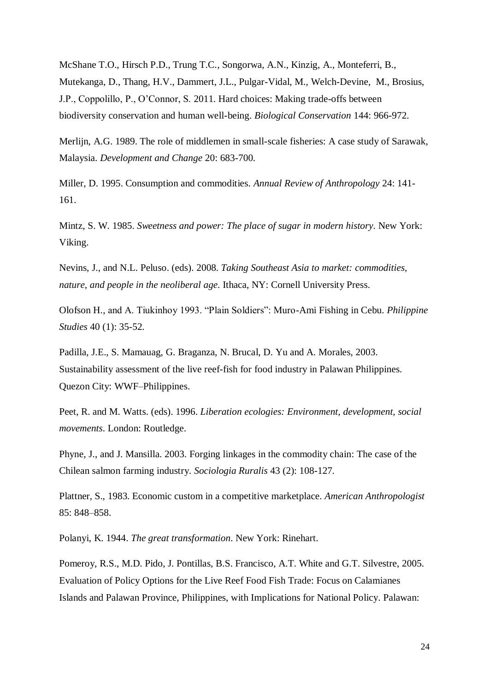McShane T.O., Hirsch P.D., Trung T.C., Songorwa, A.N., Kinzig, A., Monteferri, B., Mutekanga, D., Thang, H.V., Dammert, J.L., Pulgar-Vidal, M., Welch-Devine, M., Brosius, J.P., Coppolillo, P., O'Connor, S. 2011. Hard choices: Making trade-offs between biodiversity conservation and human well-being. *Biological Conservation* 144: 966-972.

Merlijn, A.G. 1989. The role of middlemen in small-scale fisheries: A case study of Sarawak, Malaysia. *Development and Change* 20: 683-700.

Miller, D. 1995. Consumption and commodities. *Annual Review of Anthropology* 24: 141- 161.

Mintz, S. W. 1985. *Sweetness and power: The place of sugar in modern history*. New York: Viking.

Nevins, J., and N.L. Peluso. (eds). 2008. *Taking Southeast Asia to market: commodities, nature, and people in the neoliberal age*. Ithaca, NY: Cornell University Press.

Olofson H., and A. Tiukinhoy 1993. "Plain Soldiers": Muro-Ami Fishing in Cebu. *Philippine Studies* 40 (1): 35-52.

Padilla, J.E., S. Mamauag, G. Braganza, N. Brucal, D. Yu and A. Morales, 2003. Sustainability assessment of the live reef-fish for food industry in Palawan Philippines. Quezon City: WWF–Philippines.

Peet, R. and M. Watts. (eds). 1996. *Liberation ecologies: Environment, development, social movements*. London: Routledge.

Phyne, J., and J. Mansilla. 2003. Forging linkages in the commodity chain: The case of the Chilean salmon farming industry. *Sociologia Ruralis* 43 (2): 108-127.

Plattner, S., 1983. Economic custom in a competitive marketplace. *American Anthropologist* 85: 848–858.

Polanyi, K. 1944. *The great transformation*. New York: Rinehart.

Pomeroy, R.S., M.D. Pido, J. Pontillas, B.S. Francisco, A.T. White and G.T. Silvestre, 2005. Evaluation of Policy Options for the Live Reef Food Fish Trade: Focus on Calamianes Islands and Palawan Province, Philippines, with Implications for National Policy. Palawan: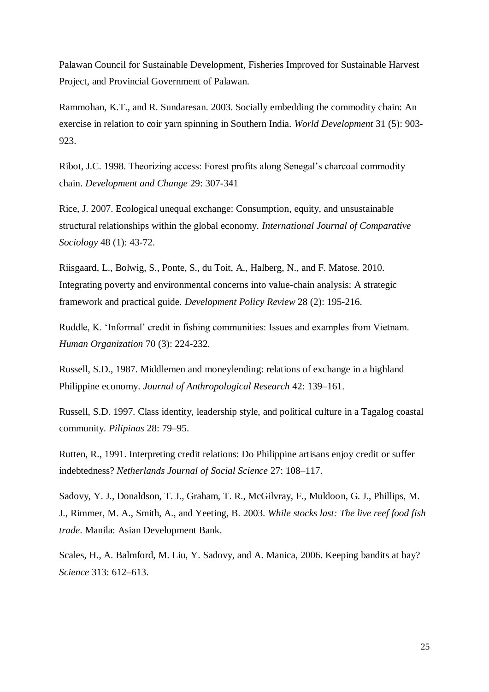Palawan Council for Sustainable Development, Fisheries Improved for Sustainable Harvest Project, and Provincial Government of Palawan.

Rammohan, K.T., and R. Sundaresan. 2003. Socially embedding the commodity chain: An exercise in relation to coir yarn spinning in Southern India. *World Development* 31 (5): 903- 923.

Ribot, J.C. 1998. Theorizing access: Forest profits along Senegal's charcoal commodity chain. *Development and Change* 29: 307-341

Rice, J. 2007. Ecological unequal exchange: Consumption, equity, and unsustainable structural relationships within the global economy. *International Journal of Comparative Sociology* 48 (1): 43-72.

Riisgaard, L., Bolwig, S., Ponte, S., du Toit, A., Halberg, N., and F. Matose. 2010. Integrating poverty and environmental concerns into value-chain analysis: A strategic framework and practical guide. *Development Policy Review* 28 (2): 195-216.

Ruddle, K. 'Informal' credit in fishing communities: Issues and examples from Vietnam. *Human Organization* 70 (3): 224-232.

Russell, S.D., 1987. Middlemen and moneylending: relations of exchange in a highland Philippine economy. *Journal of Anthropological Research* 42: 139–161.

Russell, S.D. 1997. Class identity, leadership style, and political culture in a Tagalog coastal community. *Pilipinas* 28: 79–95.

Rutten, R., 1991. Interpreting credit relations: Do Philippine artisans enjoy credit or suffer indebtedness? *Netherlands Journal of Social Science* 27: 108–117.

Sadovy, Y. J., Donaldson, T. J., Graham, T. R., McGilvray, F., Muldoon, G. J., Phillips, M. J., Rimmer, M. A., Smith, A., and Yeeting, B. 2003. *While stocks last: The live reef food fish trade*. Manila: Asian Development Bank.

Scales, H., A. Balmford, M. Liu, Y. Sadovy, and A. Manica, 2006. Keeping bandits at bay? *Science* 313: 612–613.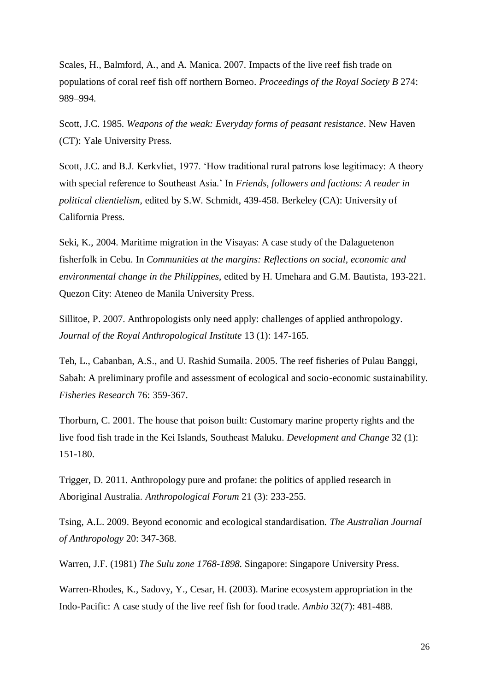Scales, H., Balmford, A., and A. Manica. 2007. Impacts of the live reef fish trade on populations of coral reef fish off northern Borneo. *Proceedings of the Royal Society B* 274: 989–994.

Scott, J.C. 1985. *Weapons of the weak: Everyday forms of peasant resistance*. New Haven (CT): Yale University Press.

Scott, J.C. and B.J. Kerkvliet, 1977. 'How traditional rural patrons lose legitimacy: A theory with special reference to Southeast Asia.' In *Friends, followers and factions: A reader in political clientielism*, edited by S.W. Schmidt, 439-458. Berkeley (CA): University of California Press.

Seki, K., 2004. Maritime migration in the Visayas: A case study of the Dalaguetenon fisherfolk in Cebu. In *Communities at the margins: Reflections on social, economic and environmental change in the Philippines*, edited by H. Umehara and G.M. Bautista, 193-221. Quezon City: Ateneo de Manila University Press.

Sillitoe, P. 2007. Anthropologists only need apply: challenges of applied anthropology. *Journal of the Royal Anthropological Institute* 13 (1): 147-165.

Teh, L., Cabanban, A.S., and U. Rashid Sumaila. 2005. The reef fisheries of Pulau Banggi, Sabah: A preliminary profile and assessment of ecological and socio-economic sustainability. *Fisheries Research* 76: 359-367.

Thorburn, C. 2001. The house that poison built: Customary marine property rights and the live food fish trade in the Kei Islands, Southeast Maluku. *Development and Change* 32 (1): 151-180.

Trigger, D. 2011. Anthropology pure and profane: the politics of applied research in Aboriginal Australia. *Anthropological Forum* 21 (3): 233-255.

Tsing, A.L. 2009. Beyond economic and ecological standardisation. *The Australian Journal of Anthropology* 20: 347-368.

Warren, J.F. (1981) *The Sulu zone 1768-1898*. Singapore: Singapore University Press.

Warren-Rhodes, K., Sadovy, Y., Cesar, H. (2003). Marine ecosystem appropriation in the Indo-Pacific: A case study of the live reef fish for food trade. *Ambio* 32(7): 481-488.